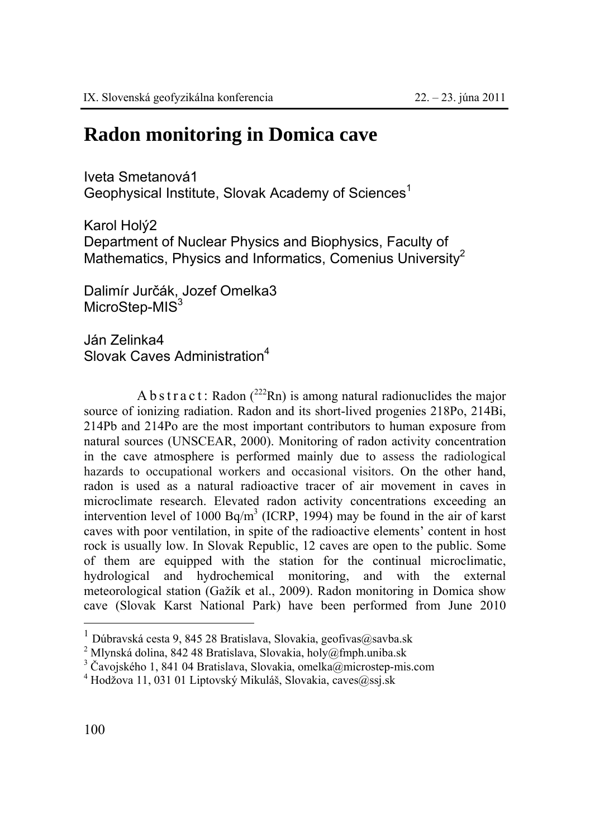## **Radon monitoring in Domica cave**

Iveta Smetanová1 Geophysical Institute, Slovak Academy of Sciences<sup>1</sup>

Karol Holý2 Department of Nuclear Physics and Biophysics, Faculty of Mathematics, Physics and Informatics, Comenius University<sup>2</sup>

Dalimír Jurčák, Jozef Omelka3 MicroStep-MIS<sup>3</sup>

Ján Zelinka4 Slovak Caves Administration<sup>4</sup>

A b s t r a c t : Radon  $(^{222}$ Rn) is among natural radionuclides the major source of ionizing radiation. Radon and its short-lived progenies 218Po, 214Bi, 214Pb and 214Po are the most important contributors to human exposure from natural sources (UNSCEAR, 2000). Monitoring of radon activity concentration in the cave atmosphere is performed mainly due to assess the radiological hazards to occupational workers and occasional visitors. On the other hand, radon is used as a natural radioactive tracer of air movement in caves in microclimate research. Elevated radon activity concentrations exceeding an intervention level of 1000  $Bq/m<sup>3</sup>$  (ICRP, 1994) may be found in the air of karst caves with poor ventilation, in spite of the radioactive elements' content in host rock is usually low. In Slovak Republic, 12 caves are open to the public. Some of them are equipped with the station for the continual microclimatic, hydrological and hydrochemical monitoring, and with the external meteorological station (Gažík et al., 2009). Radon monitoring in Domica show cave (Slovak Karst National Park) have been performed from June 2010

 $\overline{a}$ 

Dúbravská cesta 9, 845 28 Bratislava, Slovakia, geofivas@savba.sk

<sup>&</sup>lt;sup>2</sup> Mlynská dolina, 842 48 Bratislava, Slovakia, holy@fmph.uniba.sk

 $3 \text{ Čavojského 1, 841 04 Bratislava, Slovakia, omelka@microstep-mis.com}$ 

 $4$  Hodžova 11, 031 01 Liptovský Mikuláš, Slovakia, caves@ssj.sk